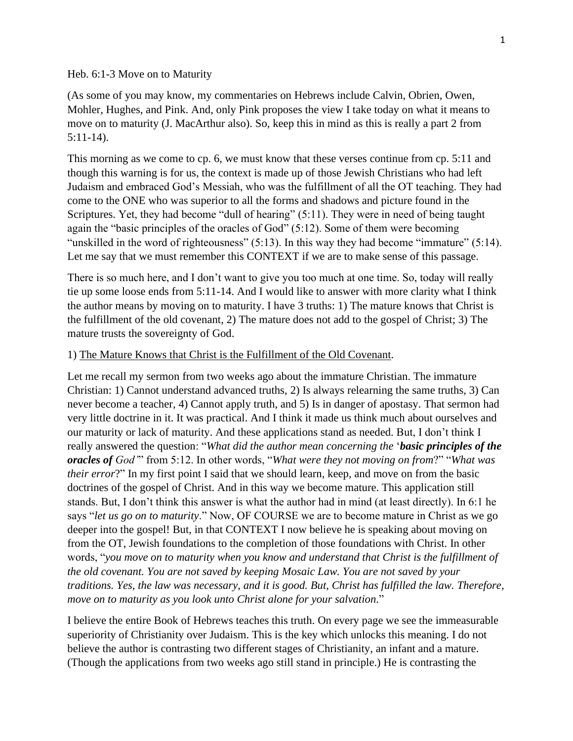Heb. 6:1-3 Move on to Maturity

(As some of you may know, my commentaries on Hebrews include Calvin, Obrien, Owen, Mohler, Hughes, and Pink. And, only Pink proposes the view I take today on what it means to move on to maturity (J. MacArthur also). So, keep this in mind as this is really a part 2 from 5:11-14).

This morning as we come to cp. 6, we must know that these verses continue from cp. 5:11 and though this warning is for us, the context is made up of those Jewish Christians who had left Judaism and embraced God's Messiah, who was the fulfillment of all the OT teaching. They had come to the ONE who was superior to all the forms and shadows and picture found in the Scriptures. Yet, they had become "dull of hearing" (5:11). They were in need of being taught again the "basic principles of the oracles of God" (5:12). Some of them were becoming "unskilled in the word of righteousness" (5:13). In this way they had become "immature" (5:14). Let me say that we must remember this CONTEXT if we are to make sense of this passage.

There is so much here, and I don't want to give you too much at one time. So, today will really tie up some loose ends from 5:11-14. And I would like to answer with more clarity what I think the author means by moving on to maturity. I have 3 truths: 1) The mature knows that Christ is the fulfillment of the old covenant, 2) The mature does not add to the gospel of Christ; 3) The mature trusts the sovereignty of God.

## 1) The Mature Knows that Christ is the Fulfillment of the Old Covenant.

Let me recall my sermon from two weeks ago about the immature Christian. The immature Christian: 1) Cannot understand advanced truths, 2) Is always relearning the same truths, 3) Can never become a teacher, 4) Cannot apply truth, and 5) Is in danger of apostasy. That sermon had very little doctrine in it. It was practical. And I think it made us think much about ourselves and our maturity or lack of maturity. And these applications stand as needed. But, I don't think I really answered the question: "*What did the author mean concerning the* '*basic principles of the oracles of God'*" from 5:12. In other words, "*What were they not moving on from*?" "*What was their error*?" In my first point I said that we should learn, keep, and move on from the basic doctrines of the gospel of Christ. And in this way we become mature. This application still stands. But, I don't think this answer is what the author had in mind (at least directly). In 6:1 he says "*let us go on to maturity*." Now, OF COURSE we are to become mature in Christ as we go deeper into the gospel! But, in that CONTEXT I now believe he is speaking about moving on from the OT, Jewish foundations to the completion of those foundations with Christ. In other words, "*you move on to maturity when you know and understand that Christ is the fulfillment of the old covenant. You are not saved by keeping Mosaic Law. You are not saved by your traditions. Yes, the law was necessary, and it is good. But, Christ has fulfilled the law. Therefore, move on to maturity as you look unto Christ alone for your salvation*."

I believe the entire Book of Hebrews teaches this truth. On every page we see the immeasurable superiority of Christianity over Judaism. This is the key which unlocks this meaning. I do not believe the author is contrasting two different stages of Christianity, an infant and a mature. (Though the applications from two weeks ago still stand in principle.) He is contrasting the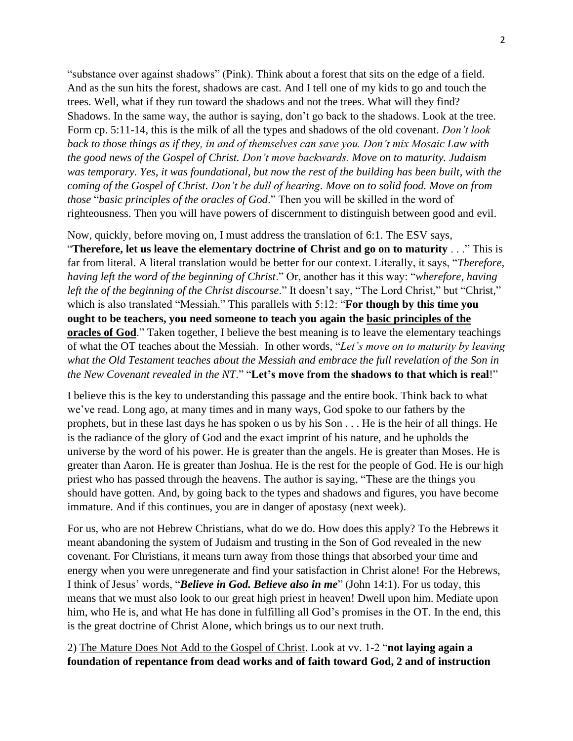"substance over against shadows" (Pink). Think about a forest that sits on the edge of a field. And as the sun hits the forest, shadows are cast. And I tell one of my kids to go and touch the trees. Well, what if they run toward the shadows and not the trees. What will they find? Shadows. In the same way, the author is saying, don't go back to the shadows. Look at the tree. Form cp. 5:11-14, this is the milk of all the types and shadows of the old covenant. *Don't look back to those things as if they, in and of themselves can save you. Don't mix Mosaic Law with the good news of the Gospel of Christ. Don't move backwards. Move on to maturity. Judaism was temporary. Yes, it was foundational, but now the rest of the building has been built, with the coming of the Gospel of Christ. Don't be dull of hearing. Move on to solid food. Move on from those* "*basic principles of the oracles of God*." Then you will be skilled in the word of righteousness. Then you will have powers of discernment to distinguish between good and evil.

Now, quickly, before moving on, I must address the translation of 6:1. The ESV says, "**Therefore, let us leave the elementary doctrine of Christ and go on to maturity** . . ." This is far from literal. A literal translation would be better for our context. Literally, it says, "*Therefore, having left the word of the beginning of Christ*." Or, another has it this way: "*wherefore, having left the of the beginning of the Christ discourse*." It doesn't say, "The Lord Christ," but "Christ," which is also translated "Messiah." This parallels with 5:12: "**For though by this time you ought to be teachers, you need someone to teach you again the basic principles of the oracles of God**." Taken together, I believe the best meaning is to leave the elementary teachings of what the OT teaches about the Messiah. In other words, "*Let's move on to maturity by leaving what the Old Testament teaches about the Messiah and embrace the full revelation of the Son in the New Covenant revealed in the NT*." "**Let's move from the shadows to that which is real**!"

I believe this is the key to understanding this passage and the entire book. Think back to what we've read. Long ago, at many times and in many ways, God spoke to our fathers by the prophets, but in these last days he has spoken o us by his Son . . . He is the heir of all things. He is the radiance of the glory of God and the exact imprint of his nature, and he upholds the universe by the word of his power. He is greater than the angels. He is greater than Moses. He is greater than Aaron. He is greater than Joshua. He is the rest for the people of God. He is our high priest who has passed through the heavens. The author is saying, "These are the things you should have gotten. And, by going back to the types and shadows and figures, you have become immature. And if this continues, you are in danger of apostasy (next week).

For us, who are not Hebrew Christians, what do we do. How does this apply? To the Hebrews it meant abandoning the system of Judaism and trusting in the Son of God revealed in the new covenant. For Christians, it means turn away from those things that absorbed your time and energy when you were unregenerate and find your satisfaction in Christ alone! For the Hebrews, I think of Jesus' words, "*Believe in God. Believe also in me*" (John 14:1). For us today, this means that we must also look to our great high priest in heaven! Dwell upon him. Mediate upon him, who He is, and what He has done in fulfilling all God's promises in the OT. In the end, this is the great doctrine of Christ Alone, which brings us to our next truth.

2) The Mature Does Not Add to the Gospel of Christ. Look at vv. 1-2 "**not laying again a foundation of repentance from dead works and of faith toward God, 2 and of instruction**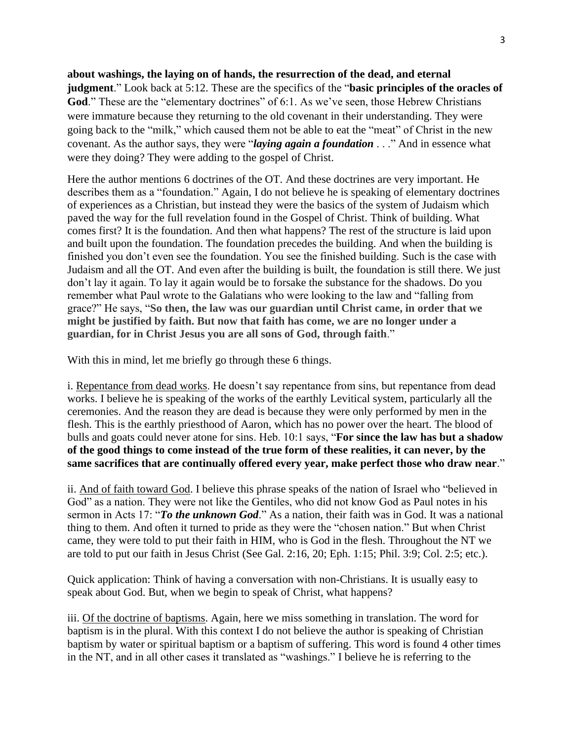**about washings, the laying on of hands, the resurrection of the dead, and eternal judgment**." Look back at 5:12. These are the specifics of the "**basic principles of the oracles of**  God." These are the "elementary doctrines" of 6:1. As we've seen, those Hebrew Christians were immature because they returning to the old covenant in their understanding. They were going back to the "milk," which caused them not be able to eat the "meat" of Christ in the new covenant. As the author says, they were "*laying again a foundation* . . ." And in essence what were they doing? They were adding to the gospel of Christ.

Here the author mentions 6 doctrines of the OT. And these doctrines are very important. He describes them as a "foundation." Again, I do not believe he is speaking of elementary doctrines of experiences as a Christian, but instead they were the basics of the system of Judaism which paved the way for the full revelation found in the Gospel of Christ. Think of building. What comes first? It is the foundation. And then what happens? The rest of the structure is laid upon and built upon the foundation. The foundation precedes the building. And when the building is finished you don't even see the foundation. You see the finished building. Such is the case with Judaism and all the OT. And even after the building is built, the foundation is still there. We just don't lay it again. To lay it again would be to forsake the substance for the shadows. Do you remember what Paul wrote to the Galatians who were looking to the law and "falling from grace?" He says, "**So then, the law was our guardian until Christ came, in order that we might be justified by faith. But now that faith has come, we are no longer under a guardian, for in Christ Jesus you are all sons of God, through faith**."

With this in mind, let me briefly go through these 6 things.

i. Repentance from dead works. He doesn't say repentance from sins, but repentance from dead works. I believe he is speaking of the works of the earthly Levitical system, particularly all the ceremonies. And the reason they are dead is because they were only performed by men in the flesh. This is the earthly priesthood of Aaron, which has no power over the heart. The blood of bulls and goats could never atone for sins. Heb. 10:1 says, "**For since the law has but a shadow of the good things to come instead of the true form of these realities, it can never, by the same sacrifices that are continually offered every year, make perfect those who draw near**."

ii. And of faith toward God. I believe this phrase speaks of the nation of Israel who "believed in God" as a nation. They were not like the Gentiles, who did not know God as Paul notes in his sermon in Acts 17: "*To the unknown God*." As a nation, their faith was in God. It was a national thing to them. And often it turned to pride as they were the "chosen nation." But when Christ came, they were told to put their faith in HIM, who is God in the flesh. Throughout the NT we are told to put our faith in Jesus Christ (See Gal. 2:16, 20; Eph. 1:15; Phil. 3:9; Col. 2:5; etc.).

Quick application: Think of having a conversation with non-Christians. It is usually easy to speak about God. But, when we begin to speak of Christ, what happens?

iii. Of the doctrine of baptisms. Again, here we miss something in translation. The word for baptism is in the plural. With this context I do not believe the author is speaking of Christian baptism by water or spiritual baptism or a baptism of suffering. This word is found 4 other times in the NT, and in all other cases it translated as "washings." I believe he is referring to the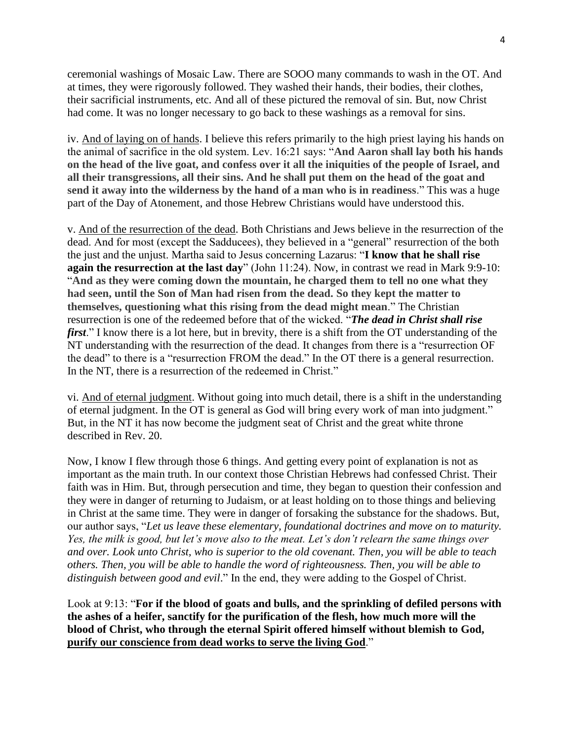ceremonial washings of Mosaic Law. There are SOOO many commands to wash in the OT. And at times, they were rigorously followed. They washed their hands, their bodies, their clothes, their sacrificial instruments, etc. And all of these pictured the removal of sin. But, now Christ had come. It was no longer necessary to go back to these washings as a removal for sins.

iv. And of laying on of hands. I believe this refers primarily to the high priest laying his hands on the animal of sacrifice in the old system. Lev. 16:21 says: "**And Aaron shall lay both his hands on the head of the live goat, and confess over it all the iniquities of the people of Israel, and all their transgressions, all their sins. And he shall put them on the head of the goat and send it away into the wilderness by the hand of a man who is in readiness**." This was a huge part of the Day of Atonement, and those Hebrew Christians would have understood this.

v. And of the resurrection of the dead. Both Christians and Jews believe in the resurrection of the dead. And for most (except the Sadducees), they believed in a "general" resurrection of the both the just and the unjust. Martha said to Jesus concerning Lazarus: "**I know that he shall rise again the resurrection at the last day**" (John 11:24). Now, in contrast we read in Mark 9:9-10: "**And as they were coming down the mountain, he charged them to tell no one what they had seen, until the Son of Man had risen from the dead. So they kept the matter to themselves, questioning what this rising from the dead might mean**." The Christian resurrection is one of the redeemed before that of the wicked. "*The dead in Christ shall rise first*." I know there is a lot here, but in brevity, there is a shift from the OT understanding of the NT understanding with the resurrection of the dead. It changes from there is a "resurrection OF the dead" to there is a "resurrection FROM the dead." In the OT there is a general resurrection. In the NT, there is a resurrection of the redeemed in Christ."

vi. And of eternal judgment. Without going into much detail, there is a shift in the understanding of eternal judgment. In the OT is general as God will bring every work of man into judgment." But, in the NT it has now become the judgment seat of Christ and the great white throne described in Rev. 20.

Now, I know I flew through those 6 things. And getting every point of explanation is not as important as the main truth. In our context those Christian Hebrews had confessed Christ. Their faith was in Him. But, through persecution and time, they began to question their confession and they were in danger of returning to Judaism, or at least holding on to those things and believing in Christ at the same time. They were in danger of forsaking the substance for the shadows. But, our author says, "*Let us leave these elementary, foundational doctrines and move on to maturity. Yes, the milk is good, but let's move also to the meat. Let's don't relearn the same things over and over. Look unto Christ, who is superior to the old covenant. Then, you will be able to teach others. Then, you will be able to handle the word of righteousness. Then, you will be able to distinguish between good and evil*." In the end, they were adding to the Gospel of Christ.

Look at 9:13: "**For if the blood of goats and bulls, and the sprinkling of defiled persons with the ashes of a heifer, sanctify for the purification of the flesh, how much more will the blood of Christ, who through the eternal Spirit offered himself without blemish to God, purify our conscience from dead works to serve the living God**."